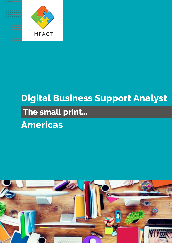

# **Digital Business Support Analyst**

### **The small print…**

## **Americas**

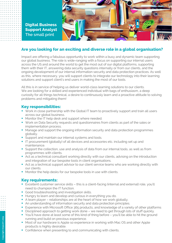

**Digital Business Support Analyst The small print**

#### **Are you looking for an exciting and diverse role in a global organisation?**

Impact are offering a fabulous opportunity to work within a busy and dynamic team supporting our global business. The role is wide-ranging with a focus on supporting our internal users across the US and around the world to get the most out of our digital platforms, supporting them with their IT, answering data security questions internally or from our clients, and the ongoing development of our internal information security and data protection practices. As well as this, where necessary, you will support clients to integrate our technology into their learning solutions and support client's end users in making the most of our tools.

All this is in service of helping us deliver world-class learning solutions to our clients. We are looking for a skilled and experienced individual with bags of enthusiasm, a deep curiosity for all things technical, a desire to continuously learn and a proactive attitude to solving problems and mitigating them!

#### **Key responsibilities:**

- Work in close partnership with the Global IT team to proactively support and train all users across our global business.
- Monitor the IT help desk and support where needed.
- Work on Data Security requests and questionnaires from clients as part of the sales or implementation process.
- Manage and support the ongoing information security and data protection programmes globally.
- Support and maintain our internal systems and tools.
- § IT procurement (globally) of all devices and accessories etc. including set up and maintenance.
- Support the collection, use and analysis of data from our internal tools, as well as from programmes with clients.
- Act as a technical consultant working directly with our clients, advising on the introduction and integration of our bespoke tools in client organisations.
- Act as a technical support advisor to our client service teams who are working directly with our clients.
- Monitor the help desks for our bespoke tools in use with clients.

#### **Key requirements:**

- Excellent customer service skills this is a client-facing (internal and external) role, you'll need to champion the IT function.
- Good troubleshooting and investigation skills.
- Hungry to learn and develop and curious in everything you do.
- A team player relationships are at the heart of how we work globally.
- An understanding of information security and data protection principles.
- Experience with Microsoft Office 365 products, and knowledge of a variety of other platforms
- Disciplined approach to getting work done we need to get through lots of stuff quickly.
- § You'll have done at least some of this kind of thing before you'll be able to hit the ground running and build on previous experience.
- Most of our hardware is Apple so experience in working with Mac OS and other Apple products is highly desirable.
- Confidence when presenting to and communicating with clients.